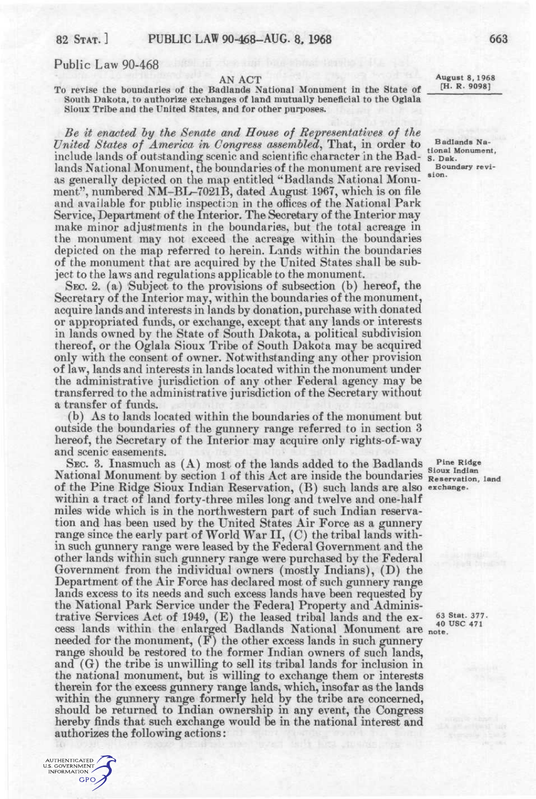## Public Law 90-468

AUTHENTICATED U.S. GOVERNMENT GPO

AN ACT<br>distributed Monoment in the State of H. R. 90981 To revise the boundaries of the Badlands National Monument in the State of South Dakota, to authorize exchanges of land mutually beneficial to the Oglala Sioux Tribe and the United States, and for other purposes.

*Be it enacted hy the Senate and House of Representatives of the United States of America in Congress assembled*, That, in order to **Badlands Na-**<br>tional Monument, include lands of outstanding scenic and scientific character in the Bad- s. Dak. lands National Monument, the boundaries of the monument are revised slop. as generally depicted on the map entitled "Badlands National Monument", numbered NM-BL-7021B, dated August 1967, which is on file and available for public inspection in the ofiices of the National Park Service, Department of the Interior. The Secretary of the Interior may make minor adjustments in the boundaries, but the total acreage in the monument may not exceed the acreage within the boundaries depicted on the map referred to herein. Lands within the boundaries of the monument that are acquired by the United States shall be subject to the laws and regulations applicable to the monument.

SEC. 2. (a) Subject to the provisions of subsection (b) hereof, the Secretary of the Interior may, within the boundaries of the monument, acquire lands and interests in lands by donation, purchase with donated or appropriated funds, or exchange, except that any lands or interests in lands owned by the State of South Dakota, a political subdivision thereof, or the Oglala Sioux Tribe of South Dakota may be acquired only with the consent of owner. Notwithstanding any other provision of law, lands and interests in lands located within the monument under the administrative jurisdiction of any other Federal agency may be transferred to the administrative jurisdiction of the Secretary without a transfer of funds,

(b) As to lands located within the boundaries of the monument but outside the boundaries of the gunnery range referred to in section 3 hereof, the Secretary of the Interior may acquire only rights-of-way and scenic easements.

SEC. 3. Inasmuch as  $(A)$  most of the lands added to the Badlands sinus Ridge National Monument by section 1 of this Act are inside the boundaries Reservation, land of the Pine Ridge Sioux Indian Reservation, (B) such lands are also exchange, within a tract of land forty-three miles long and twelve and one-half miles wide which is in the northwestern part of such Indian reservation and has been used by the United States Air Force as a gunnery range since the early part of World War II, (C) the tribal lands within such gunnery range were leased by the Federal Government and the other lands within such gunnery range were purchased by the Federal Government from the individual owners (mostly Indians), (D) the Department of the Air Force has declared most of such gunnery range lands excess to its needs and such excess lands have been requested by the National Park Service under the Federal Property and Administrative Services Act of 1949, (E) the leased tribal lands and the ex- $^{53}$  Stat. 377. cess lands within the enlarged Badlands National Monument are note. needed for the monument, (F) the other excess lands in such gunnery range should be restored to the former Indian owners of such lands, and (G) the tribe is unwilling to sell its tribal lands for inclusion in the national monument, but is willing to exchange them or interests therein for the excess gunnery range lands, which, insofar as the lands within the gunnery range formerly held by the tribe are concerned, should be returned to Indian ownership in any event, the Congress hereby finds that such exchange would be in the national interest and authorizes the following actions:

40 USC 471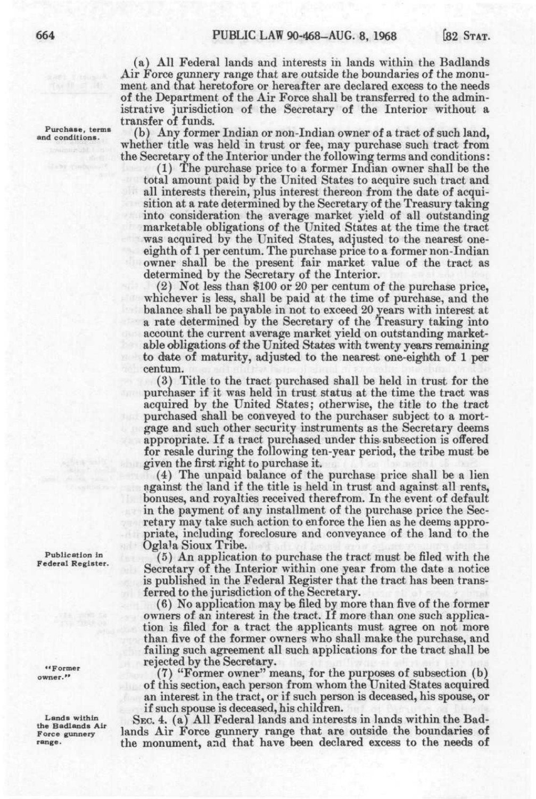(a) All Federal lands and interests in lands within the Badlands Air Force gunnery range that are outside the boundaries of the monument and that heretofore or hereafter are declared excess to the needs of the Department of the Air Force shall be transferred to the administrative jurisdiction of the Secretary of the Interior without a transfer of funds.

(b) Any former Indian or non-Indian owner of a tract of such land, whether title was held in trust or fee, may purchase such tract from the Secretary of the Interior under the following terms and conditions:

(1) The purchase price to a former Indian owner shall be the total amount paid by the United States to acquire such tract and all interests therein, plus interest thereon from the date of acquisition at a rate determined by the Secretary of the Treasury taking into consideration the average market yield of all outstanding marketable obligations of the United States at the time the tract was acquired by the United States, adjusted to the nearest oneeighth of 1 per centum. The purchase price to a former non-Indian owner shall be the present fair market value of the tract as determined by the Secretary of the Interior.

(2) Not less than \$100 or 20 per centum of the purchase price, whichever is less, shall be paid at the time of purchase, and the balance shall be payable in not to exceed 20 years with interest at a rate determined by the Secretary of the Treasury taking into account the current average market yield on outstanding marketable obligations of the United States with twenty years remaining to dute of maturity, adjusted to the nearest one-eighth of 1 per centum.

(3) Title to the tract purchased shall be held in trust for the purchaser if it was held in trust status at the time the tract was acquired by the United States; otherwise, the title to the tract purchased shall be conveyed to the purchaser subject to a mortgage and such other security instruments as the Secretary deems appropriate. If a tract purchased under this- subsection is offered for resale during the following ten-year period, the tribe must be given the first right to purchase it.

(4) The unpaid balance of the purchase price shall be a lien against the land if the title is held in trust and against all rents, bonuses, and royalties received therefrom. In the event of default in the payment of any installment of the purchase price the Secretary may take such action to enforce the lien as he deems appropriate, including foreclosure and conveyance of the land to the Oglala Sioux Tribe.

(5) An application to purchase the tract must be filed with the Secretary of the Interior within one year from the date a notice is published in the Federal Register that the tract has been transferred to the jurisdiction of the Secretary.

(6) No application may be filed by more than five of the former owners of an interest in the tract. If more than one such application is filed for a tract the applicants must agree on not more than five of the former owners who shall make the purchase, and failing such agreement all such applications for the tract shall be rejected by the Secretary.

(7) "Former owner" means, for the purposes of subsection (b) of this section, each person from whom the United States acquired an interest in the tract, or if such person is deceased, his spouse, or if such spouse is deceased, his children.

SEC. 4. (a) All Federal lands and interests in lands within the Badlands Air Force gunnery range that are outside the boundaries of the monument, and that have been declared excess to the needs of

**Purchase, terms and conditions.** 

**Publication in Federal Register.** 

**••Former owner."** 

**Lands within the Badlands Air Force gunnery range.**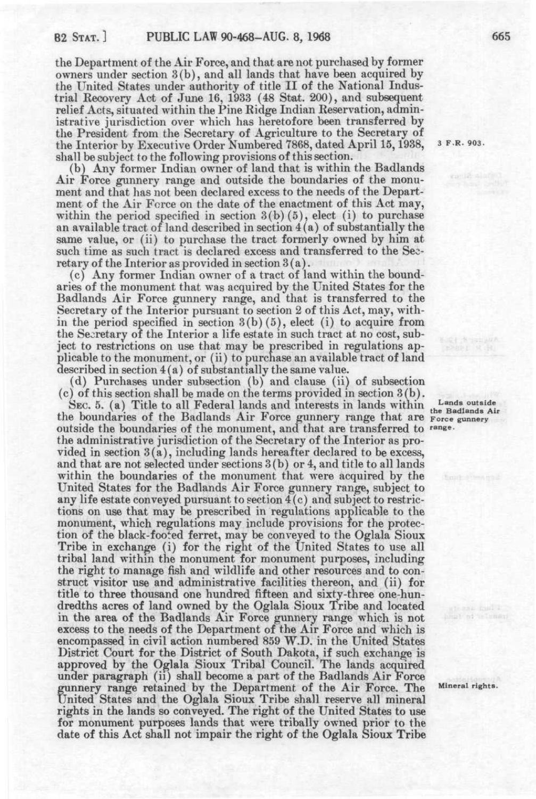the Department of the Air Force, and that are not purchased by former owners under section 3(b), and all lands that have been acquired by the United States under authority of title II of the National Industrial Recovery Act of June 16, 1933 (48 Stat. 200), and subsequent relief Acts, situated within the Pine Ridge Indian Reservation, administrative jurisdiction over which has heretofore been transferred by the President from the Secretary of Agriculture to the Secretary of the Interior by Executive Order Numbered 7868, dated April 15,1938, shall be subject to the following provisions of this section.

(b) Any former Indian owner of land that is within the Badlands Air Force gunnery range and outside the boundaries of the monument and that has not been declared excess to the needs of the Department of the Air Force on the date of the enactment of this Act may, within the period specified in section  $3(b)(5)$ , elect (i) to purchase an available tract of land described in section  $4(a)$  of substantially the same value, or (ii) to purchase the tract formerly owned by him at such time as such tract is declared excess and transferred to the Secretary of the Interior as provided in section 3(a).

(c) Any former Indian owner of a tract of land within the boundaries of the monument that was acquired by the United States for the Badlands Air Force gunnery range, and that is transferred to the Secretary of the Interior pursuant to section 2 of this Act, may, within the period specified in section 3(b)(5), elect (i) to acquire from the Secretary of the Interior a life estate in such tract at no cost, subject to restrictions on use that may be prescribed in regulations applicable to the monument, or (ii) to purchase an available tract of land described in section 4(a) of substantially the same value.

(d) Purchases under subsection (b) and clause (ii) of subsection (c) of this section shall be made on the terms provided in section 3(b).

SEC. 5. (a) Title to all Federal lands and interests in lands within  $\frac{\text{Lands outside}}{\text{the Badlands Air}}$ the boundaries of the Badlands Air Force gunnery range that are Force gunnery *"*  outside the boundaries of the monument, and that are transferred to *range.*  the administrative jurisdiction of the Secretary of the Interior as provided in section 3(a), including lands hereafter declared to be excess, and that are not selected under sections 3(b) or 4, and title to all lands within the boundaries of the monument that were acquired by the United States for the Badlands Air Force gunnery range, subject to any life estate conveyed pursuant to section 4(c) and subject to restrictions on use that may be prescribed in regulations applicable to the monument, which regulations may include provisions for the protection of the black-footed ferret, may be conveyed to the Oglala Sioux Tribe in exchange (i) for the right of the United States to use all tribal land within the monument for monument purposes, including the right to manage fish and wildlife and other resources and to construct visitor use and administrative facilities thereon, and (ii) for title to three thousand one hundred fifteen and sixty-three one-hundredths acres of land owned by the Oglala Sioux Tribe and located in the area of the Badlands Air Force gunnery range which is not excess to the needs of the Department of the Air Force and which is encompassed in civil action numbered 859 W.D. in the United States District Court for the District of South Dakota, if such exchange is approved by the Oglala Sioux Tribal Council. The lands acquired under paragraph (ii) shall become a part of the Badlands Air Force gunnery range retained by the Department of the Air Force. The Mineral rights. United States and the Oglala Sioux Tribe shall reserve all mineral rights in the lands so conveyed. The right of the United States to use for monument purposes lands that were tribally owned prior to the date of this Act shall not impair the right of the Oglala Sioux Tribe

**3 F.R. 903.**